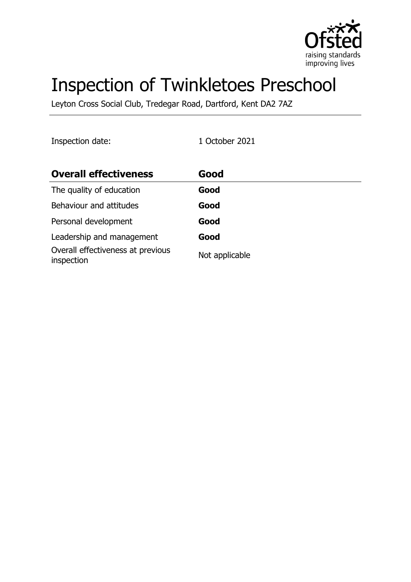

# Inspection of Twinkletoes Preschool

Leyton Cross Social Club, Tredegar Road, Dartford, Kent DA2 7AZ

Inspection date: 1 October 2021

| <b>Overall effectiveness</b>                    | Good           |
|-------------------------------------------------|----------------|
| The quality of education                        | Good           |
| Behaviour and attitudes                         | Good           |
| Personal development                            | Good           |
| Leadership and management                       | Good           |
| Overall effectiveness at previous<br>inspection | Not applicable |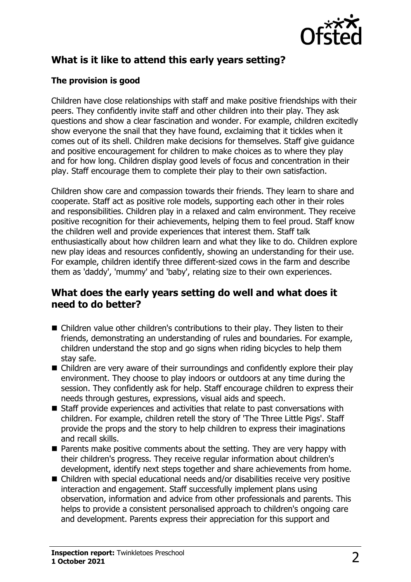

# **What is it like to attend this early years setting?**

#### **The provision is good**

Children have close relationships with staff and make positive friendships with their peers. They confidently invite staff and other children into their play. They ask questions and show a clear fascination and wonder. For example, children excitedly show everyone the snail that they have found, exclaiming that it tickles when it comes out of its shell. Children make decisions for themselves. Staff give guidance and positive encouragement for children to make choices as to where they play and for how long. Children display good levels of focus and concentration in their play. Staff encourage them to complete their play to their own satisfaction.

Children show care and compassion towards their friends. They learn to share and cooperate. Staff act as positive role models, supporting each other in their roles and responsibilities. Children play in a relaxed and calm environment. They receive positive recognition for their achievements, helping them to feel proud. Staff know the children well and provide experiences that interest them. Staff talk enthusiastically about how children learn and what they like to do. Children explore new play ideas and resources confidently, showing an understanding for their use. For example, children identify three different-sized cows in the farm and describe them as 'daddy', 'mummy' and 'baby', relating size to their own experiences.

#### **What does the early years setting do well and what does it need to do better?**

- $\blacksquare$  Children value other children's contributions to their play. They listen to their friends, demonstrating an understanding of rules and boundaries. For example, children understand the stop and go signs when riding bicycles to help them stay safe.
- $\blacksquare$  Children are very aware of their surroundings and confidently explore their play environment. They choose to play indoors or outdoors at any time during the session. They confidently ask for help. Staff encourage children to express their needs through gestures, expressions, visual aids and speech.
- $\blacksquare$  Staff provide experiences and activities that relate to past conversations with children. For example, children retell the story of 'The Three Little Pigs'. Staff provide the props and the story to help children to express their imaginations and recall skills.
- $\blacksquare$  Parents make positive comments about the setting. They are very happy with their children's progress. They receive regular information about children's development, identify next steps together and share achievements from home.
- $\blacksquare$  Children with special educational needs and/or disabilities receive very positive interaction and engagement. Staff successfully implement plans using observation, information and advice from other professionals and parents. This helps to provide a consistent personalised approach to children's ongoing care and development. Parents express their appreciation for this support and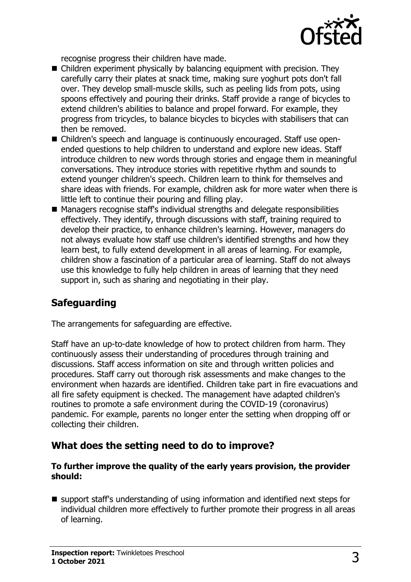

recognise progress their children have made.

- $\blacksquare$  Children experiment physically by balancing equipment with precision. They carefully carry their plates at snack time, making sure yoghurt pots don't fall over. They develop small-muscle skills, such as peeling lids from pots, using spoons effectively and pouring their drinks. Staff provide a range of bicycles to extend children's abilities to balance and propel forward. For example, they progress from tricycles, to balance bicycles to bicycles with stabilisers that can then be removed.
- Children's speech and language is continuously encouraged. Staff use openended questions to help children to understand and explore new ideas. Staff introduce children to new words through stories and engage them in meaningful conversations. They introduce stories with repetitive rhythm and sounds to extend younger children's speech. Children learn to think for themselves and share ideas with friends. For example, children ask for more water when there is little left to continue their pouring and filling play.
- Managers recognise staff's individual strengths and delegate responsibilities effectively. They identify, through discussions with staff, training required to develop their practice, to enhance children's learning. However, managers do not always evaluate how staff use children's identified strengths and how they learn best, to fully extend development in all areas of learning. For example, children show a fascination of a particular area of learning. Staff do not always use this knowledge to fully help children in areas of learning that they need support in, such as sharing and negotiating in their play.

# **Safeguarding**

The arrangements for safeguarding are effective.

Staff have an up-to-date knowledge of how to protect children from harm. They continuously assess their understanding of procedures through training and discussions. Staff access information on site and through written policies and procedures. Staff carry out thorough risk assessments and make changes to the environment when hazards are identified. Children take part in fire evacuations and all fire safety equipment is checked. The management have adapted children's routines to promote a safe environment during the COVID-19 (coronavirus) pandemic. For example, parents no longer enter the setting when dropping off or collecting their children.

# **What does the setting need to do to improve?**

#### **To further improve the quality of the early years provision, the provider should:**

 $\blacksquare$  support staff's understanding of using information and identified next steps for individual children more effectively to further promote their progress in all areas of learning.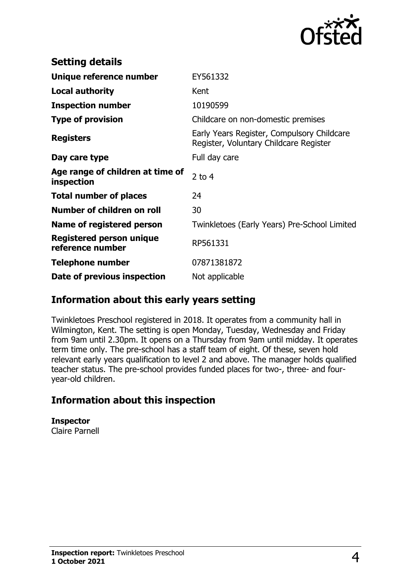

| <b>Setting details</b>                              |                                                                                      |
|-----------------------------------------------------|--------------------------------------------------------------------------------------|
| Unique reference number                             | EY561332                                                                             |
| <b>Local authority</b>                              | Kent                                                                                 |
| <b>Inspection number</b>                            | 10190599                                                                             |
| <b>Type of provision</b>                            | Childcare on non-domestic premises                                                   |
| <b>Registers</b>                                    | Early Years Register, Compulsory Childcare<br>Register, Voluntary Childcare Register |
| Day care type                                       | Full day care                                                                        |
| Age range of children at time of<br>inspection      | 2 to $4$                                                                             |
| <b>Total number of places</b>                       | 24                                                                                   |
| Number of children on roll                          | 30                                                                                   |
| Name of registered person                           | Twinkletoes (Early Years) Pre-School Limited                                         |
| <b>Registered person unique</b><br>reference number | RP561331                                                                             |
| <b>Telephone number</b>                             | 07871381872                                                                          |
| Date of previous inspection                         | Not applicable                                                                       |

### **Information about this early years setting**

Twinkletoes Preschool registered in 2018. It operates from a community hall in Wilmington, Kent. The setting is open Monday, Tuesday, Wednesday and Friday from 9am until 2.30pm. It opens on a Thursday from 9am until midday. It operates term time only. The pre-school has a staff team of eight. Of these, seven hold relevant early years qualification to level 2 and above. The manager holds qualified teacher status. The pre-school provides funded places for two-, three- and fouryear-old children.

# **Information about this inspection**

**Inspector** Claire Parnell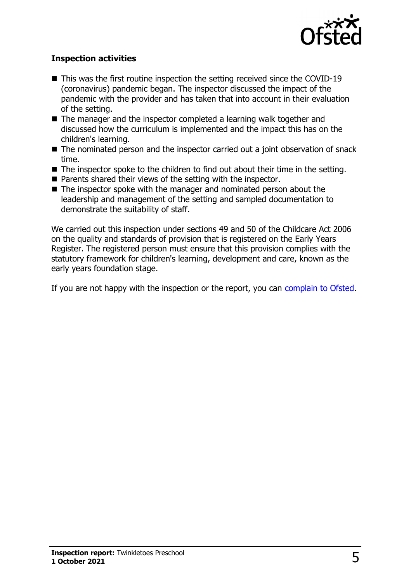

#### **Inspection activities**

- $\blacksquare$  This was the first routine inspection the setting received since the COVID-19 (coronavirus) pandemic began. The inspector discussed the impact of the pandemic with the provider and has taken that into account in their evaluation of the setting.
- $\blacksquare$  The manager and the inspector completed a learning walk together and discussed how the curriculum is implemented and the impact this has on the children's learning.
- $\blacksquare$  The nominated person and the inspector carried out a joint observation of snack time.
- $\blacksquare$  The inspector spoke to the children to find out about their time in the setting.
- $\blacksquare$  Parents shared their views of the setting with the inspector.
- $\blacksquare$  The inspector spoke with the manager and nominated person about the leadership and management of the setting and sampled documentation to demonstrate the suitability of staff.

We carried out this inspection under sections 49 and 50 of the Childcare Act 2006 on the quality and standards of provision that is registered on the Early Years Register. The registered person must ensure that this provision complies with the statutory framework for children's learning, development and care, known as the early years foundation stage.

If you are not happy with the inspection or the report, you can [complain to Ofsted](http://www.gov.uk/complain-ofsted-report).